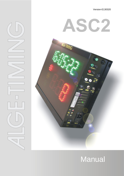Version-E130320





# **Manual**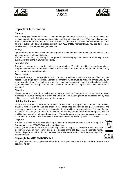



### **Important Information**

#### **General**

Before using your ALGE-TIMING device read the complete manual carefully. It is part of the device and contains important information about installation, safety and its intended use. This manual cannot cover all conceivable applications. For further information or in case of problems that are mentioned not at all or not sufficiently detailed, please contact your ALGE-TIMING representative. You can find contact details on our homepage [www.alge-timing.com](http://www.alge-timing.com/)

#### **Safety**

Apart from the information of this manual all general safety and accident prevention regulations of the legislator must be taken into account.

The device must only be used by trained persons. The setting-up and installation must only be executed according to the manufacturer's data.

#### **Intended Use**

The device must only be used for its intended applications. Technical modifications and any misuse are prohibited because of the risks involved! ALGE-TIMING is not liable for damages that are caused by improper use or incorrect operation.

#### **Power supply**

The stated voltage on the type plate must correspond to voltage of the power source. Check all connections and plugs before usage. Damaged connection wires must be replaced immediately by an authorized electrician. The device must only be connected to an electric supply that has been installed by an electrician according to IEC 60364-1. Never touch the mains plug with wet hands! Never touch live parts!

#### **Cleaning**

Please clean the outside of the device only with a smooth cloth. Detergents can cause damage. Never submerge in water, never open or clean with wet cloth. The cleaning must not be carried out by hose or high-pressure (risk of short circuits or other damage).

#### **Liability Limitations**

All technical information, data and information for installation and operation correspond to the latest status at time of printing and are made in all conscience considering our past experience and knowledge. Information, pictures and description do not entitle to base any claims. The manufacturer is not liable for damage due to failure to observe the manual, improper use, incorrect repairs, technical modifications, use of unauthorized spare parts. Translations are made in all conscience. We assume no liability for translation mistakes, even if the translation is carried out by us or on our behalf.

#### **Disposal**

If a label is placed on the device showing a crossed out dustbin on wheels (see drawing), the European directive 2002/96/EG applies for this device.

Please get informed about the applicable regulations for separate collection of electrical and electronical waste in your country and do not dispose of the old devices as household waste. Correct disposal of old equipment protects the environment and humans against negative consequences!



#### **Copyright by** ALGE-TIMING **GmbH**

All rights reserved. Any duplication, either in full or in part, requires the prior written consent of the copyright holder.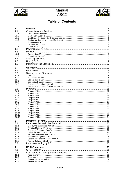



# **Table of Contents**

| 1                |  |
|------------------|--|
| 1.1              |  |
| 1.1.1            |  |
| 1.1.2            |  |
| 1.1.3            |  |
| 1.1.4            |  |
| 1.1.5            |  |
| 1.1.6<br>1.1.7   |  |
| 1.2              |  |
| 1.3              |  |
| 1.3.1            |  |
| 1.3.2            |  |
| 1.4              |  |
| 1.5              |  |
| 1.6              |  |
|                  |  |
| 2<br>2.1         |  |
|                  |  |
| 2.2<br>2.2.1     |  |
| 2.2.2            |  |
| 2.2.3            |  |
| 2.2.4            |  |
| 2.2.5            |  |
| 2.2.6            |  |
| 2.3              |  |
| 2.3.1            |  |
| 2.3.2            |  |
| 2.3.3<br>2.3.4   |  |
| 2.3.5            |  |
| 2.3.6            |  |
| 2.3.7            |  |
| 2.3.8            |  |
| 2.3.9            |  |
| 2.3.10           |  |
| 2.3.11<br>2.3.12 |  |
| 2.3.13           |  |
| 3                |  |
| 3.1              |  |
| 3.1.1            |  |
| 3.1.2            |  |
| 3.1.3            |  |
| 3.1.4            |  |
| 3.1.5            |  |
| 3.1.6<br>3.1.7   |  |
| 3.1.8            |  |
| 3.2              |  |
| 4                |  |
| 4.1              |  |
| 4.2              |  |
| 4.2.1            |  |
| 4.2.2            |  |
| 4.2.3            |  |
| 4.2.4            |  |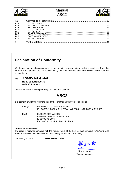



| 4.3   |    |
|-------|----|
| 4.3.1 |    |
| 4.3.2 |    |
| 4.3.3 |    |
| 4.3.4 |    |
| 4.3.5 |    |
| 4.3.6 |    |
| 4.3.7 |    |
| 438   |    |
| 5     | 34 |

# **Declaration of Conformity**

We declare that the following products comply with the requirements of the listed standards. Parts that we use in the product are CE certificated by the manufacturers and ALGE-TIMING GmbH does not change them.

#### We, ALGE-TIMING **GmbH Rotkreuzstrasse 39 A-6890 Lustenau**

Declare under our sole responsibility, that the display board:

# **ASC2**

is in conformity with the following standard(s) or other normative documents(s):

Safety: IEC 60950:1999 / EN 60950:2000 EN 60335-1:2002 + A11:2004 + A1:2004 + A12:2006 + A2:2006

EMC: EN55022:2006+A1:2007 EN55024:1998+A1:2001+A2:2003 EN61000 3-2:2006 EN61000 3-3:1995+A1:2001+A2:2005

#### **Additional Information:**

The product herewith complies with the requirements of the Low Voltage Directive 73/23/EEC, also the EMC Directive 2004/108EG and accordingly carries the CE-marking.

Lustenau, 30.11.2010 **ALGE-TIMING GmbH** 

Albert Vetter

Albert Vetter (General Manager)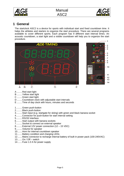



# <span id="page-4-0"></span>**1 General**

The startclock ASC2 is a device for sports with individual start and fixed countdown time. It helps the athletes and starters to organize the start procedure. There are several programs available to cover different sports. Each program has 9 different start interval times. An acoustic countdown, a start light and a visible countdown will help you to organize the start procedure.



![](_page_4_Figure_6.jpeg)

- A ........Red start light
- B ........Yellow start light
- C ........Green start light
- D ........Countdown clock with adjustable start intervals
- E ........Time of day clock with hours, minutes and seconds
- 1.........Green push-button
- 2.........Black push-button
- 3.........Start input (e.g. startgate for skiing) with green and black banana socket
- 4.........Connector for push-button for start interval setting
- 5.........RS232 interface
- 6.........Start output with banana sockets
- 7.........Socket to connect an external speaker
- 8.........External 12V power connection (12 15 VDC)
- 9.........Volume for speaker
- 10.......Horn for internal countdown speaker
- 11.......Battery condition and charging LEDs
- 12.......Mains connector to recharge internal battery of built in power pack (100-240VAC)
- 13.......On / Off switch
- 14.......Fuse 1.0 A for power supply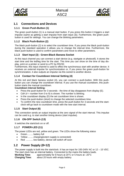![](_page_5_Picture_0.jpeg)

![](_page_5_Picture_2.jpeg)

### <span id="page-5-0"></span>**1.1 Connections and Devices**

#### <span id="page-5-1"></span>**1.1.1 Green Push-Button (1)**

The green push-button (1) is a manual start button. If you press this button it triggers a start impulse (same as getting a start impulse from start input (3)). Furthermore, the green pushbutton is used for settings. You can change the blinking parameters.

#### <span id="page-5-2"></span>**1.1.2 Black Push-Button (2)**

The black push-button (2) is to select the countdown time. If you press the black push-button during the standard operation it allows you to change the interval time. Furthermore, the black push-button is used to confirm parameters and move to other parameters.

#### <span id="page-5-3"></span>**1.1.3 Start Input (3) - Green-Black Banana Socket**

At this input channel you can connect a start device (e.g. startgate or photocell). It stores the start time and the led/leg time for the start. This time you can show on the time of day display, print on a printer or send to a PC by RS232.

Furthermore, this input channel is used to effect the synchronous start with another device. It receives an external impulse for synchronization or, if you press the green push-button for synchronization, it also outputs an impulse via this socket to another device.

#### <span id="page-5-4"></span>**1.1.4 Contact for Countdown Interval Setting (4)**

At this red and black banana socket (4), you can connect a push-button. With this pushbutton you can change the countdown interval. If you use the manual countdown, this pushbutton starts the manual countdown.

#### **Countdown Interval Setting:**

- Press the push-button for 3 seconds the time of day disappears from display (E).
- Cd#  $#$  = number from 0 to 9) is shown. The number is blinking.
- In the countdown display (D) the set countdown time is shown.
- Press the push-button (short) to change the selected countdown time.
- To confirm the new countdown time, press the push-button for 3 seconds and the startclock will go back to countdown mode with the new start interval.

#### <span id="page-5-5"></span>**1.1.5 Start Output (6)**

This connection sends an output impulse at the zero signal of the start interval. This impulse can be used e.g. to start another timing device (start impulse).

#### <span id="page-5-6"></span>**1.1.6 ON-OFF Switch (13)**

It switches the startclock on or off.

#### <span id="page-5-7"></span>**1.1.7 POWER-LED (11)**

The power LEDs are red, yellow and green. The LEDs show the following status

- Green......... battery full
- Yellow ........ charging (extern supply is connected)
- Red ........... low battery, device will switch off soon

### <span id="page-5-8"></span>**1.2 Power Supply (8+12)**

The power supply is built into the startclock. It has an input for 100-240V AC or 12 – 15 VDC. The start clock has an internal battery. Connected to the mains the battery loads.

| <b>Working Time:</b>  | approximately for 8 hours at 20 $\degree$ C or 5 hours at $-20\degree$ C |
|-----------------------|--------------------------------------------------------------------------|
| <b>Charging Time:</b> | about 20 hours with empty battery                                        |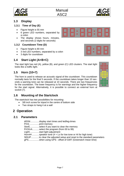![](_page_6_Picture_2.jpeg)

### <span id="page-6-0"></span>**1.3 Display**

#### <span id="page-6-1"></span>**1.3.1 Time of Day (E)**

- Figure height is 55 mm
- 6 green LED numbers, separated by a colon
- The display shows hours, minutes, and seconds (2 digits for seconds)

#### <span id="page-6-2"></span>**1.3.2 Countdown Time (D)**

- Figure height is 80 mm
- 3 red LED numbers, separated by a colon
- 3 digits for countdown

# <span id="page-6-3"></span>**1.4 Start Light (A+B+C)**

The start light has red (A), yellow (B), and green (C) LED clusters. The start light looks like a traffic light.

# <span id="page-6-4"></span>**1.5 Horn (10+7)**

The horn is used to release an acoustic signal of the countdown. This countdown normally lasts for the final 5 seconds. If the countdown takes longer than 10 seconds a warning tone can be released at 10 seconds. There are two frequencies for the countdown. The lower frequency is for warnings and the higher frequency for the start signal. Alternatively, it is possible to connect an external horn at socket (7).

# <span id="page-6-5"></span>**1.6 Mounting of the Startclock**

The startclock has two possibilities for mounting:

- 3/8 inch screw for tripod in the centre of bottom side
- Two straps to hang it at a wall

# <span id="page-6-6"></span>**2 Operation**

### <span id="page-6-7"></span>**2.1 Parameters**

diSStt.............display start times and led/leg-times PrInt...............print memory StorE..............select if you want to clear the memory PrOGrA..........select the program (from 00 to 99) LIgHt..............start light adjustment Horn##...........speaker tone (# = Lo for low tone or Hi for high tone) SEtUP............to clear the adjusted setup and reset to the standard parameters gPS................when using GPS - offset of GMT (Greenwich mean time)

![](_page_6_Picture_23.jpeg)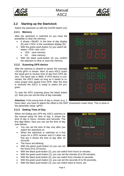![](_page_7_Picture_0.jpeg)

![](_page_7_Picture_2.jpeg)

### <span id="page-7-0"></span>**2.2 Starting up the Startclock**

Switch the startclock on with the On/Off-Switch (12).

#### <span id="page-7-1"></span>**2.2.1 Memory**

After the startclock is switched on you have the possibility to clear the memory.

- It shows <StorE> in the time of day display (E) and <YES> in the countdown display (D).
- With the green push-button (1) you switch between <YES> and <nO>
	- YES save memory
	- nO clear memory
- With the black push-button (2) you confirm the selection to clear or save the memory.

#### <span id="page-7-2"></span>**2.2.2 Scanning GPS device**

After the memory is cleared or saved, the message <SCAn gPS> is shown. Next 10 secs ASC2 scans the serial port to receive time of day from GPS device. The baud rate is 9600. If GPS device is connected, the ASC2 waits as long as it needs to receive proper time packet from GPS. After the time is received the ASC2 is ready to select the program.

To stop the GPS scanning press the black button (2). Now you can set the time of day manually.

#### **Attention:** If the wrong time of day is shown (e.g. 2

hours late), you have to adjust the offset to the GMT (Greenwich mean time). This is done in the parameter setup <gPS>.

#### <span id="page-7-3"></span>**2.2.3 Setting Time of Day**

When not finding any GPS the ASC2 switches to the manual setup for time of day. It shows the time of day in hours, minutes and seconds. The first digit blinks. Now you can set the time of day (see below).

- You can set the time of day only after you switch the startclock on.
- When the startclock is switched on it first scans for a GPS receiver and if it does not find any it shows the time of day after 10 seconds.
- The hours are blinking.
- With the green push-button (1) you can set the hours (0 to 23 hours).
- With the black push-button (2), you can switch from hours to minutes.
- With the green push-button (1), you can set the minutes (0 to 59 minutes).
- With the black push-button (2), you can switch from minutes to seconds.
- With the green push-button (1), you can set the seconds (0 to 59 seconds).
- With the black push-button (2), you can switch back to hours, etc.

![](_page_7_Picture_28.jpeg)

**ALGE-TIMING** 

![](_page_7_Picture_29.jpeg)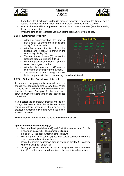![](_page_8_Picture_0.jpeg)

![](_page_8_Picture_2.jpeg)

- If you keep the black push-button (2) pressed for about 3 seconds, the time of day is set and ready for synchronization. In the countdown clock field SnC is shown.
- You synchronise with an impulse on the start input banana sockets (3) or by pressing the green push-button (1).
- When the time of day is started you can set the program you want to use.

#### <span id="page-8-0"></span>**2.2.4 Setting the Program**

- After the synchronization, the time of day display (E) shows the running time of day for five seconds.
- After five seconds the time of day disappears and <ProgrA> is shown in the time of day display (E).
- The countdown display (D) shows the last used program number (0 to 5).
- With the green push-button (1) you can select the program number.
- With the black push-button (2) you can confirm the selected program number.
- The startclock is now running in the selected program with the corresponding countdown interval 1.

#### <span id="page-8-1"></span>**2.2.5 Select the Countdown Interval**

As soon as the program is selected, you can change the countdown time at any time. When changing the countdown time the new countdown time is calculated. Zero point for the new countdown is always the zero tone of the last finished countdown.

If you select the countdown interval and do not change the interval time, the active countdown continues without showing in the display. The previous countdown only stops, when you select a new countdown.

The countdown interval can be selected in two different ways:

#### **a) Internal Black Push-button (2):**

- Press the black push-button (2) and  $Cdf# (# =$  number from 0 to 9) is shown in display (E). The number is blinking.
- In display (D) the set countdown time is shown.
- With the green push-button (1) you can select between 9 different pre-programmed countdown times.
- When the desired countdown time is shown in display (D) confirm with the black push-button (2).
- Display (E) shows the time of day and display (D) the countdown time. Zero of the new countdown time is the last finished zero time.

![](_page_8_Figure_23.jpeg)

![](_page_8_Picture_24.jpeg)

![](_page_8_Picture_25.jpeg)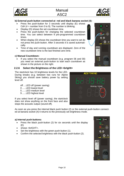![](_page_9_Picture_0.jpeg)

![](_page_9_Picture_2.jpeg)

#### **b) External push-button connected at red and black banana socket (4):**

- Press the push-button for 3 seconds until display (E) shows  $Cdf# = number from 0 to 9$ . The number is blinking.
- Display (D) shows the set countdown time.
- Press the push-button for changing the selected countdown time. You can select between 9 pre-programmed countdown times.
- When display (D) shows the countdown time you want to set do not press the push-button. After 3 seconds it is saved automatically.
- Time of day and running countdown are displayed. Zero of the new countdown time is the last finished zero time.

#### **c) Manual Countdown:**

If you select the manual countdown (e.g. program 06 and 00) you need an external push-button to start each countdown as shown in the picture on the right.

#### <span id="page-9-0"></span>**2.2.6 Select the Brightness of the LED <brIgHt>**

The startclock has 10 brightness levels for the LED. During breaks (e.g. between two runs for Alpine Skiing) you should save battery power by setting level off.

off ....LED off (power saving)

- 0 ......LED lowest level
- 5 ......LED medium level
- 9 ......LED highest level

4LGE-TIMING blinking / blinkt

If you select level off (power saving), the startclock does not show anything on the front face and also stops the acoustic output (sound off).

As soon as you press the internal black push button (2) or the external push-button connected at banana socket (4) it returns to the previously set brightness mode.

#### **a) Internal push-buttons:**

- Press the black push-button (2) for six seconds until the display  $(E)$
- shows <br />bright>.
- Set the brightness with the green push-button (1).
- Confirm the selected brightness with the black push-button (2).

![](_page_9_Picture_25.jpeg)

![](_page_9_Picture_26.jpeg)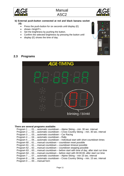![](_page_10_Picture_0.jpeg)

**Manual** ASC2

![](_page_10_Picture_2.jpeg)

#### **b) External push-button connected at red and black banana socket (4):**

- Press the push-button for six seconds until display (E)
- shows <bright>.
- Set the brightness by pushing the button.
- Confirm the selected brightness by pressing the button until
- display  $(E)$  shows the time of day.

![](_page_10_Picture_9.jpeg)

### <span id="page-10-0"></span>**2.3 Programs**

![](_page_10_Picture_11.jpeg)

#### **There are several programs available:**

Program 1 ..... 01....automatic countdown – Alpine Skiing – min. 30 sec. interval Program 2 ..... 02....automatic countdown – Cross Country Skiing – min. 30 sec. interval Program 3 ..... 03....automatic countdown – Car Racing Program 4 ..... 04....automatic countdown – Rally Program 5 ..... 05....automatic countdown – Individual start with short countdown times Program 60 ... 61....manual countdown – countdown reset possible Program 61 ... 61 .... manual countdown – countdown timeout possible Program 62 ... 62....manual countdown – countdown stopping possible Program 63 ... 63....manual countdown – before start with time of day, after start run time Program 64 ... 64....manual countdown – before start with 00:00:00, after start run time Program 7 ..... 07....automatic countdown – Alpine Skiing – min 15 sec. interval Program 8 ..... 08....automatic countdown – Cross Country Skiing – min. 15 sec. interval Program 0 ..... 00....manual horn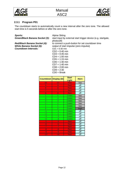![](_page_11_Picture_0.jpeg)

![](_page_11_Picture_2.jpeg)

#### <span id="page-11-0"></span>**2.3.1 Program P01**

The countdown starts to automatically count a new interval after the zero tone. The allowed start time is 5 seconds before or after the zero tone.

**Sports: Alpine Skiing**<br>**Green/Black Banana Socket (3):** start input by

**Countdown Intervals:** CD1 = 0:30 min

start input by external start trigger device (e.g. startgate, photocell) *Red/Black Banana Socket (4):* to connect a push-button for set countdown time *White Banana Socket (6):* output of start impulse (zero impulse) output of start impulse (zero impulse) CD2 = 0:40 min  $CD3 = 0:45$  min CD4 = 1:00 min  $CD5 = 1:15$  min  $CD6 = 1:30$  min CD7 = 1:40 min CD8 = 2:00 min  $CD9 = 2:30$ CD0 = Break

| Countdown   Display (D) |       | <b>Start</b><br><b>Light</b> | <b>Horn</b> |
|-------------------------|-------|------------------------------|-------------|
| 10                      | 10    | Red                          | low         |
| 9                       | 9     | Red                          | off         |
| 8                       | 8     | Red                          | off         |
| $\overline{7}$          | 7     | Red                          | off         |
| 6                       | 6     | Red                          | off         |
| 5                       | 5     | Green                        | low         |
| 4                       | 4     | Green                        | low         |
| 3                       | 3     | Green                        | low         |
| $\overline{2}$          | 2     | Green                        | low         |
| 1                       | 1     | Green                        | low         |
| 0                       | 0     | Green                        | high        |
| $-1$                    | -1    | Green                        | off         |
| $-2$                    | -2    | Green                        | off         |
| -3                      | -3    | Green                        | off         |
| $-4$                    | -4    | Green                        | off         |
| $-5$                    | -5    | Red                          | off         |
| -6                      | -6    | Red                          | off         |
| $-7$                    | -7    | Red                          | off         |
| -8                      | -8    | Red                          | off         |
| -9                      | -9    | Red                          | off         |
| -10                     | $-10$ | Red                          | off         |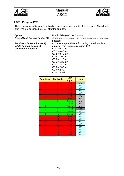![](_page_12_Picture_0.jpeg)

![](_page_12_Picture_2.jpeg)

#### <span id="page-12-0"></span>**2.3.2 Program P02**

The countdown starts to automatically count a new interval after the zero tone. The allowed start time is 3 seconds before or after the zero tone.

**Countdown Intervals:** CD1 = 0:30 min

**Sports:** Nordic Skiing – Cross Country<br>**Green/Black Banana Socket (3):** start input by external start trige start input by external start trigger device (e.g. startgate, photocell) *Red/Black Banana Socket (4):* to connect a push-button for setting countdown time<br>*White Banana Socket (6):* output of start impulse (zero impulse) output of start impulse (zero impulse) CD2 = 0:40 min  $CD3 = 0:45$  min CD4 = 1:00 min  $CD5 = 1:15$  min  $CD6 = 1:30$  min CD7 = 1:40 min CD8 = 2:00 min  $CD9 = 2:30$ 

|  | $CDO = Break$ |
|--|---------------|
|  |               |

| Countdown   Display (D) |                | <b>Start</b><br><b>Light</b> | <b>Horn</b> |
|-------------------------|----------------|------------------------------|-------------|
| $1\overline{0}$         | 10             | Red                          | low         |
| 9                       | 9              | Red                          | off         |
| 8                       | 8              | Red                          | off         |
| 7                       | 7              | Red                          | off         |
| 6                       | 6              | Red                          | off         |
| 5.                      | 5.             | Red                          | low         |
| 4                       | 4              | Red                          | low         |
| 3                       | 3              | Green                        | low         |
| $\overline{2}$          | $\overline{2}$ | Green                        | low         |
| 1                       | 1              | Green                        | low         |
| 0                       | 0              | Green                        | high        |
| $-1$                    | -1             | Green                        | off         |
| $-2$                    | $-2$           | Green                        | off         |
| -3                      | $-3$           | Red                          | off         |
| $-4$                    | -4             | Red                          | off         |
| $-5$                    | -5             | Red                          | off         |
| -6                      | -6             | Red                          | off         |
| $-7$                    | -7             | Red                          | off         |
| -8                      | -8             | Red                          | off         |
| -9                      | -9             | <b>Red</b>                   | off         |
| $-10$                   | $-10$          | Red                          | off         |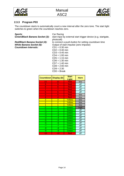![](_page_13_Picture_0.jpeg)

![](_page_13_Picture_2.jpeg)

#### <span id="page-13-0"></span>**2.3.3 Program P03**

The countdown starts to automatically count a new interval after the zero tone. The start light switches to green when the countdown reaches zero.

**Sports:** Car Racing<br>**Green/Black Banana Socket (3):** start input b

**Countdown Intervals:** CD1 = 0:30 min

start input by external start trigger device (e.g. startgate, photocell) *Red/Black Banana Socket (4):* to connect a push-button for setting countdown time *White Banana Socket (6):* 0 Output of start impulse (zero impulse) **Output of start impulse (zero impulse)**  $CD2 = 0:40$  min  $CD3 = 0:45$  min  $CD4 = 1:00$  min  $CD5 = 1:15$  min  $CD6 = 1:30$  min  $CD7 = 1:40$  min  $CD8 = 2:00$  min  $CD9 = 2:30$ CD0 = Break

| Countdown   Display (D) |                | <b>Start</b><br><b>Light</b> | <b>Horn</b> |
|-------------------------|----------------|------------------------------|-------------|
| 10                      | 10             | Red                          | low         |
| 9                       | 9              | Red                          | off         |
| 8                       | 8              | Red                          | off         |
| 7                       | 7              | Red                          | off         |
| 6                       | 6              | Red                          | off         |
| 5                       | 5.             | Red                          | low         |
| 4                       | 4              | Red                          | low         |
| 3                       | 3              | Yellow                       | low         |
| $\overline{2}$          | $\overline{2}$ | Yellow                       | low         |
| $\overline{1}$          | $\overline{1}$ | Yellow                       | low         |
| 0                       | 0              | Green                        | high        |
| $-1$                    | $-1$           | Green                        | off         |
| $-2$                    | $-2$           | Green                        | off         |
| ٠J                      | $-3$           | Green                        | off         |
| $-4$                    | $-4$           | Green                        | off         |
| $-5$                    | $-5$           | Green                        | off         |
| $-6$                    | $-6$           | Green                        | off         |
| $-7$                    | $-7$           | Green                        | off         |
| -8                      | -8             | Green                        | off         |
| -9                      | -9             | Green                        | off         |
| $-10$                   | $-10$          | Red                          | off         |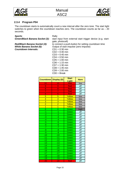![](_page_14_Picture_0.jpeg)

![](_page_14_Picture_2.jpeg)

#### <span id="page-14-0"></span>**2.3.4 Program P04**

The countdown starts to automatically count a new interval after the zero tone. The start light switches to green when the countdown reaches zero. The countdown counts as far as  $-20$ seconds.

**Sports:** Rally<br>**Green/Black Banana Socket (3):** start

**Countdown Intervals:** 

start input from external start trigger device (e.g. startgate, photocell) *Red/Black Banana Socket (4):* to connect a push-button for setting countdown time<br>*White Banana Socket (6):* Output of start impulse (zero impulse) Output of start impulse (zero impulse)<br>CD1 = 0:30 min  $CD2 = 0:40$  min  $CD3 = 0:45$  min  $CD4 = 0:50$  min  $CD5 = 1:00$  min

┓

 $CD6 = 1:15$  min CD7 = 1:30 min

# $CD8 = 1:45$  min

CD9 = 2:00 min

| $CD0 = B$ reak |  |  |
|----------------|--|--|
|                |  |  |

|                         | <b>Countdown   Display (D)</b> | <b>Start</b><br><b>Light</b> | <b>Horn</b>             |
|-------------------------|--------------------------------|------------------------------|-------------------------|
| 10                      | 10                             | Red                          | low                     |
| 9                       | 9                              | Red                          | off                     |
| $\overline{8}$          | 8                              | Red                          | $\overline{off}$        |
| 7                       | 7                              | Red                          | off                     |
| 6                       | 6                              | Red                          | off                     |
| 5                       | 5                              | Yellow                       | low                     |
| $\overline{4}$          | $\overline{4}$                 | Yellow                       | low                     |
| 3                       | 3                              | Yellow                       | low                     |
| $\overline{2}$          | $\overline{2}$                 | Yellow                       | low                     |
| $\overline{1}$          | $\overline{1}$                 | Yellow                       | low                     |
| 0                       | 0                              | Green                        | high                    |
| -1                      | -1                             | Green                        | off                     |
| -2                      | $\overline{-2}$                | Green                        | off                     |
| $\overline{\mathbf{3}}$ | $\overline{\mathbf{3}}$        | Green                        | off                     |
| $\overline{A}$          | $\overline{\mathcal{A}}$       | Green                        | off                     |
| $-5$                    | $-5$                           | Green                        | off                     |
| $-\overline{6}$         | $-6$                           | Green                        | $\overline{\text{off}}$ |
| 7                       | $\frac{1}{-7}$                 | Green                        | off                     |
| $-8$                    | -8                             | Green                        | off                     |
| -9                      | -9                             | Green                        | off                     |
| $-10$                   | $-10$                          | Green                        | off                     |
| $-11$                   | $-11$                          | Green                        | off                     |
| $-12$                   | $-12$                          | Green                        | off                     |
| $-13$                   | $-13$                          | Green                        | off                     |
| $-14$                   | $-14$                          | Green                        | off                     |
| $-15$                   | $-15$                          | Green                        | off                     |
| $-16$                   | $-16$                          | Green                        | $\overline{\text{off}}$ |
| $-17$                   | $-17$                          | Green                        | off                     |
| $-18$                   | $-18$                          | Green                        | off                     |
| $-19$                   | $-19$                          | Green                        | off                     |
| $-20$                   | $-20$                          | Red                          | off                     |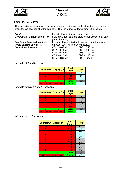![](_page_15_Picture_0.jpeg)

![](_page_15_Picture_2.jpeg)

### <span id="page-15-0"></span>**2.3.5 Program P05**

This is a simple repeatable countdown program that shows red before the zero tone and green for two seconds after the zero tone. The minimum countdown time is 3 seconds.

| <b>Sports:</b>                  | Individual start with short countdown times                                     |                  |  |
|---------------------------------|---------------------------------------------------------------------------------|------------------|--|
| Green/Black Banana Socket (3):  | start input from external start trigger device (e.g. start-<br>gate, photocell) |                  |  |
| Red/Black Banana Socket (4):    | to connect a push-button for setting countdown time                             |                  |  |
| <b>White Banana Socket (6):</b> | output of start impulse (zero impulse)                                          |                  |  |
| <b>Countdown Intervals:</b>     | $CD1 = 0:05$ min                                                                | $CD6 = 0:40$ min |  |
|                                 | $CD2 = 0:10$ min                                                                | $CD7 = 0:45$ min |  |
|                                 | $CD3 = 0:15$ min                                                                | $CD8 = 1:00$ min |  |
|                                 | $CD4 = 0:20$ min                                                                | $CD9 = 1:30$ min |  |
|                                 | $CD5 = 0:30$ min                                                                | $CDO = Break$    |  |

#### **Intervals of 3 and 6 seconds:**

| <b>Countdown</b> Display (D) | <b>Start</b><br>Light | <b>Horn</b> |
|------------------------------|-----------------------|-------------|
|                              | Red                   | off         |
|                              | Red                   | off         |
|                              | Red                   | off         |
|                              | Green                 | high        |
| next interval next interval  | Green                 | off         |

#### **Intervals between 7 and 11 seconds:**

| <b>Countdown</b> Display (D)  |   | <b>Start</b><br>Light | <b>Horn</b> |
|-------------------------------|---|-----------------------|-------------|
| 5                             | 5 | Red                   | low         |
|                               |   | Red                   | low         |
| 2                             | 2 | Red                   | low         |
| 2                             | 2 | Red                   | low         |
|                               |   | Red                   | low         |
|                               |   | Green                 |             |
| next interval I next interval |   | Green                 | ∩ff         |

*Intervals over 12 seconds:*

| <b>Countdown   Display (D)</b> |                | <b>Start</b><br>Light | <b>Horn</b> |
|--------------------------------|----------------|-----------------------|-------------|
| 10                             | 10             | <b>Red</b>            | low         |
| 9                              | 9              | Red                   | off         |
| 8                              | 8              | <b>Red</b>            | off         |
|                                | 7              | Red                   | off         |
| 6                              | 6              | Red                   | off         |
| 5                              | 5              | Red                   | low         |
| 4                              | 4              | Red                   | low         |
| 3                              | 3              | <b>Red</b>            | low         |
| $\overline{2}$                 | $\overline{2}$ | <b>Red</b>            | low         |
| 1                              | 4              | Red                   | low         |
|                                |                | Green                 | high        |
| next interval I next interval  |                | Green                 | off         |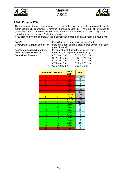![](_page_16_Picture_0.jpeg)

![](_page_16_Picture_2.jpeg)

#### <span id="page-16-0"></span>**2.3.6 Program P60**

The countdown starts to count down from an adjustable interval time after pressing the pushbutton (externally connected to red/black banana socket (4)). The start light switches to green when the countdown reaches zero. After the countdown is at -10 no light and no countdown time is displayed (only time of day).

If you press during the countdown the external push-button again it will reset the countdown.

**Red/Black Banana Socket (4):** to connect push-button for activating start **White Banana Socket (6):** output of start impulse (zero impulse) **Countdown Intervals:** 

**Sports:** Mass Start with Countdown for any Sport Green/Black Banana Socket (3): start input from external start trigger dev

start input from external start trigger device (e.g. startgate, photocell)

output of start impulse (zero impulse)

| $CD1 = 0:10$ min | $CD6 = 0:40$ min |
|------------------|------------------|
| $CD2 = 0:15$ min | $CD7 = 0:45$ min |
| $CD3 = 0:20$ min | $CD8 = 1:00$ min |
| $CD4 = 0:25$ min | $CD9 = 1:30$ min |
| $CD5 = 0:30$ min | $CDO = Break$    |
|                  |                  |

| <b>Countdown</b> | <b>Display</b> | <b>Start</b><br>Light | <b>Horn</b> |
|------------------|----------------|-----------------------|-------------|
| 10               | 10             | Red                   | low         |
| 9                | 9              | Red                   | off         |
| 8                | 8              | Red                   | off         |
| 7                | 7              | Red                   | off         |
| 6                | 6              | Red                   | off         |
| 5                | 5              | Red                   | low         |
| 4                | 4              | Red                   | low         |
| 3                | 3              | Yellow                | low         |
| $\overline{2}$   | $\overline{2}$ | Yellow                | low         |
| $\overline{1}$   | $\overline{1}$ | Yellow                | low         |
| 0                | 0              | Green                 | high        |
| -1               | -1             | Green                 | off         |
| $-2$             | $-2$           | Green                 | off         |
| -3               | -3             | Green                 | off         |
| $-4$             | $-4$           | Green                 | off         |
| $-5$             | -5             | Green                 | off         |
| $-6$             | -6             | Green                 | off         |
| $-7$             | $-7$           | Green                 | off         |
| -8               | -8             | Green                 | off         |
| -9               | -9             | Green                 | off         |
| $-10$            | $-10$          | Red                   | off         |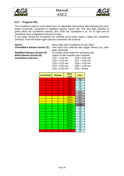![](_page_17_Picture_0.jpeg)

![](_page_17_Picture_2.jpeg)

#### <span id="page-17-0"></span>**2.3.7 Program P61**

The countdown starts to count down from an adjustable interval time after pressing the pushbutton (externally connected to red/black banana socket (4)). The start light switches to green when the countdown reaches zero. After the countdown is at -10 no light and no countdown time is displayed (only time of day).

If you press during the countdown the external push button again it stops the countdown (timeout). Push the button again and the countdown will continue.

*Green/Black Banana Socket (3):* start input from external start trigger device (e.g. start-

**Sports:** Sports: Mass Start with Countdown for any Sport

gate, photocell) *Red/Black Banana Socket (4):* to connect push-button for activating start *White Banana Socket (6):* output of start impulse (zero impulse)

*White Banana Socket (6):* output of start impulse (zero impulse) **Countdown Intervals:** C<br>C

| UDT = 0.TU MIN           | $U$ DO = 0.40 MIII |
|--------------------------|--------------------|
| $CD2 = 0:15 \text{ min}$ | $CD7 = 0:45$ min   |
| $CD3 = 0:20$ min         | $CD8 = 1:00$ min   |
| $CD4 = 0:25$ min         | $CD9 = 1:30$ min   |
| $CD5 = 0:30$ min         | $CD0 = Break$      |
|                          |                    |

| <b>Countdown</b> | <b>Display</b> | <b>Start</b><br><b>Light</b> | <b>Horn</b> |
|------------------|----------------|------------------------------|-------------|
| 10               | 10             | Red                          | low         |
| 9                | 9              | Red                          | off         |
| 8                | 8              | Red                          | off         |
| 7                | 7              | Red                          | off         |
| 6                | 6              | Red                          | off         |
| 5.               | 5.             | Red                          | low         |
| 4                | 4              | Red                          | low         |
| 3                | 3              | Yellow                       | low         |
| $\overline{2}$   | $\overline{2}$ | Yellow                       | low         |
| 1                | $\overline{1}$ | Yellow                       | low         |
| 0                | 0              | Green                        | high        |
| -1               | -1             | Green                        | off         |
| $-2$             | $-2$           | Green                        | off         |
| -3               | -3             | Green                        | off         |
| $-4$             | -4             | Green                        | off         |
| $-5$             | $-5$           | Green                        | off         |
| -6               | -6             | Green                        | off         |
| $-7$             | $-7$           | Green                        | off         |
| -8               | -8             | Green                        | off         |
| -9               | -9             | Green                        | off         |
| $-10$            | $-10$          | Red                          | off         |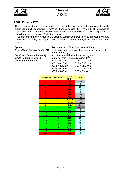![](_page_18_Picture_0.jpeg)

![](_page_18_Picture_2.jpeg)

#### <span id="page-18-0"></span>**2.3.8 Program P62**

The countdown starts to count down from an adjustable interval time after pressing the pushbutton (externally connected to red/black banana socket (4)). The start light switches to green when the countdown reaches zero. After the countdown is at -10 no light and no countdown time is displayed (only time of day).

If you press during the countdown the external push button again it stops the countdown and shows the time of day only. If you press the external push button again it starts a new countdown.

**Sports:** Mass Start with Countdown for any Sport Green/Black Banana Socket (3): start input from external start trigger dev

start input from external start trigger device (e.g. startgate, photocell)

*White Banana Socket (6):* **Countdown Intervals:** 

*Red/Black Banana Socket (4):* to connect push-button for activating start

| output of start impulse (zero impulse) |  |  |  |
|----------------------------------------|--|--|--|
| $CD6 = 0:40$ min                       |  |  |  |
| $CD7 = 0:45$ min                       |  |  |  |
| $CD8 = 1:00$ min                       |  |  |  |
| $CD9 = 1:30$ min                       |  |  |  |
| $CDO = Break$                          |  |  |  |
|                                        |  |  |  |

| <b>Countdown</b> | <b>Display</b> | <b>Start</b><br><b>Light</b> | <b>Horn</b> |
|------------------|----------------|------------------------------|-------------|
| 10               | 10             | Red                          | low         |
| 9.               | 9              | Red                          | off         |
| 8                | 8              | Red                          | off         |
| 7                | 7              | Red                          | off         |
| 6                | 6              | Red                          | off         |
| 5                | 5              | Red                          | low         |
| 4                | 4              | Red                          | low         |
| 3                | 3              | Yellow                       | low         |
| $\overline{2}$   | $\overline{2}$ | Yellow                       | low         |
| $\overline{1}$   | $\overline{1}$ | Yellow                       | low         |
| 0                | 0              | Green                        | high        |
| -1               | -1             | Green                        | off         |
| $-2$             | $-2$           | Green                        | off         |
| -3               | $-3$           | Green                        | off         |
| $-4$             | $-4$           | Green                        | off         |
| -5               | -5             | Green                        | off         |
| $-6$             | $-6$           | Green                        | off         |
| $-7$             | $-7$           | Green                        | off         |
| -8               | -8             | Green                        | off         |
| -9               | -9             | Green                        | off         |
| $-10$            | $-10$          | Red                          | off         |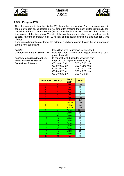![](_page_19_Picture_0.jpeg)

![](_page_19_Picture_2.jpeg)

#### <span id="page-19-0"></span>**2.3.9 Program P63**

After the synchronization the display (E) shows the time of day. The countdown starts to count down from an adjustable interval time after pressing the push-button (externally connected to red/black banana socket (4)). At zero the display (E) shows switches to the run time instead of the time of day. The start light switches to green when the countdown reaches zero. After the countdown is at -10 no light and no countdown time is displayed (only time of day).

If you press during the countdown the external push button again it stops the countdown and starts a new countdown.

**Sports:** Mass Start with Countdown for any Sport Green/Black Banana Socket (3): start input from external start trigger dev

start input from external start trigger device (e.g. startgate, photocell) **Red/Black Banana Socket (4):** to connect push-button for activating start **White Banana Socket (6):** output of start impulse (zero impulse) output of start impulse (zero impulse) *Countdown Intervals:* CD1 = 0:10 min CD6 = 0:40 min  $CD2 = 0:15$  min  $CD7 = 0:45$  min  $CD3 = 0:20$  min  $CD8 = 1:00$  min<br> $CD4 = 0:25$  min  $CD9 = 1:30$  min  $CD4 = 0:25$  min  $CD5 = 0:30$  min  $CD0 =$  Break

| <b>Countdown</b> | <b>Display</b>  | <b>Start</b><br>Light | <b>Horn</b> |
|------------------|-----------------|-----------------------|-------------|
| 10               | 10              | Red                   | low         |
| 9                | 9.              | Red                   | off         |
| 8                | 8               | Red                   | off         |
| 7                | 7               | Red                   | off         |
| 6                | 6               | Red                   | off         |
| 5                | 5               | Red                   | low         |
| 4                | 4               | Red                   | low         |
| 3                | 3               | Yellow                | low         |
| $\overline{2}$   | $\overline{2}$  | Yellow                | low         |
| $\overline{1}$   | $\overline{1}$  | Yellow                | low         |
| 0                | 0               | Green                 | high        |
| -1               | -1              | Green                 | off         |
| $-2$             | $-2$            | Green                 | off         |
| -3               | -3              | Green                 | off         |
| $-4$             | $-4$            | Green                 | off         |
| $-5$             | $-5$            | Green                 | off         |
| $-\overline{6}$  | $-\overline{6}$ | Green                 | off         |
| $-7$             | -7              | Green                 | off         |
| -8               | -8              | Green                 | off         |
| -9               | -9              | Green                 | off         |
| -10              | $-10$           | Red                   | off         |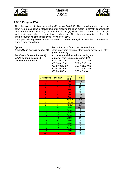![](_page_20_Picture_0.jpeg)

![](_page_20_Picture_2.jpeg)

#### <span id="page-20-0"></span>**2.3.10 Program P64**

After the synchronization the display (E) shows 00:00:00. The countdown starts to count down from an adjustable interval time after pressing the push-button (externally connected to red/black banana socket (4)). At zero the display (E) shows the run time. The start light switches to green when the countdown reaches zero. After the countdown is at -10 no light and no countdown time is displayed (only time of day).

If you press during the countdown the external push button again it stops the countdown and starts a new countdown.

gate, photocell)

*Green/Black Banana Socket (3):* start input from external start trigger device (e.g. start-

**Sports:** Mass Start with Countdown for any Sport

*White Banana Socket (6):* **Countdown Intervals:** 

*Red/Black Banana Socket (4):* to connect push-button for activating start

| output of start impulse (zero impulse) |                  |  |  |  |
|----------------------------------------|------------------|--|--|--|
| $CD1 = 0:10$ min                       | $CD6 = 0:40$ min |  |  |  |
| $CD2 = 0:15$ min                       | $CD7 = 0:45$ min |  |  |  |
| $CD3 = 0:20$ min                       | $CD8 = 1:00$ min |  |  |  |
| $CD4 = 0:25$ min                       | $CD9 = 1:30$ min |  |  |  |
| $CD5 = 0:30$ min                       | $CD0 = Break$    |  |  |  |
|                                        |                  |  |  |  |

| <b>Countdown</b> | <b>Display</b> | <b>Start</b><br>Light | <b>Horn</b> |
|------------------|----------------|-----------------------|-------------|
| 10               | 10             | Red                   | low         |
| 9.               | 9              | Red                   | off         |
| 8                | 8              | Red                   | off         |
| 7                | 7              | Red                   | off         |
| 6                | 6              | Red                   | off         |
| 5                | 5              | Red                   | low         |
| 4                | 4              | Red                   | low         |
| 3                | 3              | Yellow                | low         |
| $\overline{2}$   | $\overline{2}$ | Yellow                | low         |
| $\overline{1}$   | $\overline{1}$ | Yellow                | low         |
| 0                | 0              | Green                 | high        |
| -1               | -1             | Green                 | off         |
| $-2$             | $-2$           | Green                 | off         |
| -3               | -3             | Green                 | off         |
| $-4$             | $-4$           | Green                 | off         |
| $-5$             | $-5$           | Green                 | off         |
| $-6$             | $-6$           | Green                 | off         |
| $-7$             | $-7$           | Green                 | off         |
| -8               | -8             | Green                 | off         |
| -9               | $-9$           | Green                 | off         |
| $-10$            | $-10$          | Red                   | off         |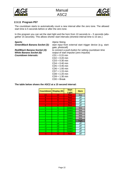![](_page_21_Picture_0.jpeg)

![](_page_21_Picture_2.jpeg)

#### <span id="page-21-0"></span>**2.3.11 Program P07**

The countdown starts to automatically count a new interval after the zero tone. The allowed start time is 5 seconds before or after the zero tone.

In this program you can set the start light and the horn from 10 seconds to  $-5$  seconds (altogether 15 seconds). This allows shorter start intervals (shortest interval time is 15 sec.)

| <b>Sports:</b>                  | <b>Alpine Skiing</b>                                                            |
|---------------------------------|---------------------------------------------------------------------------------|
| Green/Black Banana Socket (3):  | start input from external start trigger device (e.g. start-<br>gate, photocell) |
| Red/Black Banana Socket (4):    | to connect a push-button for setting countdown time                             |
| <b>White Banana Socket (6):</b> | output of start impulse (zero impulse)                                          |
| <b>Countdown Intervals:</b>     | $CD1 = 0:15$ min                                                                |
|                                 | $CD2 = 0:20$ min                                                                |
|                                 | $CD3 = 0:30$ min                                                                |
|                                 | $CD4 = 0:40$ min                                                                |
|                                 | $CD5 = 0:45$ min                                                                |
|                                 | $CD6 = 1:00$ min                                                                |
|                                 | $CD7 = 1:15$ min                                                                |
|                                 | $CD8 = 1:20$ min                                                                |
|                                 | $CD9 = 1:30$ min                                                                |
|                                 |                                                                                 |

 $CDO = Break$ 

**The table below shows the ASC2 at a 15 second interval:**

| <b>Countdown</b> | <b>Display (D)</b> | <b>Start</b><br>Light | <b>Horn</b> |
|------------------|--------------------|-----------------------|-------------|
| 10               | $10\,$             | <b>Red</b>            | low         |
| 9                | 9                  | Red                   | off         |
| 8                | 8                  | <b>Red</b>            | off         |
| 7                | 7                  | Red                   | off         |
| 6                | 6                  | Red                   | off         |
| 5                | 5                  | Green                 | low         |
| 4                | 4                  | Green                 | low         |
| 3                | 3                  | Green                 | low         |
| $\overline{2}$   | $\overline{2}$     | Green                 | low         |
|                  | 1                  | Green                 | low         |
| 0                | 0                  | Green                 | high        |
| -1               | 14                 | Green                 | off         |
| $-2$             | 13                 | Green                 | off         |
| -3               | 12                 | Green                 | off         |
| -4               | 11                 | Green                 | off         |
| -5               | 10                 | Red                   | off         |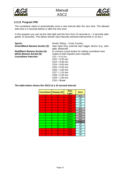![](_page_22_Picture_0.jpeg)

![](_page_22_Picture_2.jpeg)

#### <span id="page-22-0"></span>**2.3.12 Program P08**

The countdown starts to automatically count a new interval after the zero tone. The allowed start time is 3 seconds before or after the zero tone.

In this program you can set the start light and the horn from 10 seconds to  $-5$  seconds (altogether 15 seconds). This allows shorter start intervals (shortest interval time is 15 sec.)

| <b>Sports:</b>                  | Nordic Skiing - Cross Country                                                   |
|---------------------------------|---------------------------------------------------------------------------------|
| Green/Black Banana Socket (3):  | start input from external start trigger device (e.g. start-<br>gate, photocell) |
| Red/Black Banana Socket (4):    | to connect a push-button for setting countdown time                             |
| <b>White Banana Socket (6):</b> | output of start impulse (zero impulse)                                          |
| <b>Countdown Intervals:</b>     | $CD1 = 0:15$ min                                                                |
|                                 | $CD2 = 0:20$ min                                                                |
|                                 | $CD3 = 0:30$ min                                                                |
|                                 | $CD4 = 0:40$ min                                                                |
|                                 | $CD5 = 0:45$ min                                                                |
|                                 | $CD6 = 1:00$ min                                                                |
|                                 | $CD7 = 1:15$ min                                                                |
|                                 | $CD8 = 1:20$ min                                                                |
|                                 | $CD9 = 1:30$ min                                                                |
|                                 | $CDO = Break$                                                                   |

**The table below shows the ASC2 at a 15 second interval:**

| Countdown      | Display (D)    | <b>Start</b><br>Light | <b>Horn</b> |
|----------------|----------------|-----------------------|-------------|
| 10             | 10             | Red                   | low         |
| 9              | 9.             | Red                   | off         |
| 8              | 8              | Red                   | off         |
| 7              | 7              | Red                   | off         |
| 6              | 6              | Red                   | off         |
| 5              | 5.             | Red                   | low         |
| 4              | 4              | Red                   | low         |
| 3              | 3              | Green                 | low         |
| $\overline{2}$ | $\overline{2}$ | Green                 | low         |
| 1              |                | Green                 | low         |
| 0              | 0              | Green                 | high        |
| -1             | 14             | Green                 | off         |
| $-2$           | 13             | Green                 | off         |
| -3             | 12             | Red                   | off         |
| $-4$           | 11             | Red                   | off         |
| -5             | 10             | Red                   | off         |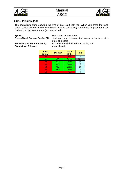![](_page_23_Picture_0.jpeg)

![](_page_23_Picture_2.jpeg)

#### <span id="page-23-0"></span>**2.3.13 Program P00**

The countdown starts showing the time of day, start light red. When you press the pushbutton (externally connected to red/black banana socket (4)), it switches to green for 5 seconds and a high tone sounds (for one second).

**Sports:** Mass Start for any Sport<br>**Green/Black Banana Socket (3):** start input from external

start input from external start trigger device (e.g. startgate, photocell)

**Countdown Intervals:** 

**Red/Black Banana Socket (4):** to connect push-button for activating start **Countdown Intervals:** manual mode

| <b>Push</b><br><b>Button</b> | <b>Display</b> | <b>Start</b><br>Light | <b>Horn</b> |
|------------------------------|----------------|-----------------------|-------------|
| off                          | ---            | Red                   | off         |
| on                           | GO             | Green                 | high        |
| off                          | GO             | Green                 | off         |
| off                          | GO             | Green                 | off         |
| off                          | GO             | Green                 | off         |
| off                          | GO             | Green                 | off         |
| off                          | --             | Red                   | off         |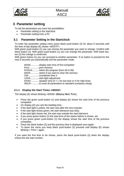![](_page_24_Picture_0.jpeg)

![](_page_24_Picture_2.jpeg)

# <span id="page-24-0"></span>**3 Parameter setting**

To set the parameters you have two possibilities:

- Parameter setting in the startclock
- Parameter setting from a PC

### <span id="page-24-1"></span>**3.1 Parameter Setting in the Startclock**

To enter the parameter setting menu press black push-button (2) for about 9 seconds until the time of day display (E) shows <dISSTF>.

With green push-button (1) you can choose the parameter you want to change. Confirm with black button (2). With green push-button (1) you can change the parameter. With black button (2) the change is confirmed.

With green button (1) you can proceed to another parameter. If no button is pressed for the next 3 seconds you automatically exit the parameter mode.

dISStt.............display start time of first competitor PrInt...............print memory PrOGrA..........select the program (from 00 to 99) StOrE.............select if you want to clear the memory Cd#................countdown time # LIGHt .............start light adjustment tOnE# ............speaker tone  $(\# = L$  for low tone or H for high tone) SEtUP............to reset all parameters to standard (company setup)

#### <span id="page-24-2"></span>**3.1.1 Display the Start Times <dISStt>**

The display (E) shows blinking <dISStt> (**Dis**play **St**art **T**ime).

- Press the green push-button (1) and display (E) shows the start time of the previous competitor
- On display (D) you see the lead/leg time.
- If the start light is yellow, the start was after the zero impulse.
- If the start light shows green, the start tolerance was okay.
- If the start light shows red, the start was outside the start tolerance
- If you press green button (1) the start time of the starter before is shown, etc.
- If you press green push-button (1) the display shows the start time of the previous competitor.
- Press the black button (2) and the previous time is displayed once again.
- To leave the menu you keep black push-button (2) pressed until display (E) shows blinking < PrInt > again.

If you want the first time to be shown, press the black push-button (2) when the display shows the last start number.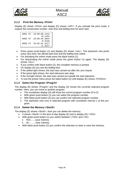![](_page_25_Picture_0.jpeg)

![](_page_25_Picture_2.jpeg)

#### <span id="page-25-0"></span>**3.1.2 Print the Memory <PrInt>**

Display (E) shows <Prlnt> and display (D) shows <oFF>. If you activate the print mode, it outputs the consecutive number, start time and led/leg time for each start.

```
0001 ST 10:00:00.1431
                +0.1431
0002 ST 10:00:59.3844
                -0.6156
0003 ST 10:02:01.3217
                +1.3217
```
- Press green push-button (1) and display (D) shows <onL>. The startclock now prints every zero time, the official start time and the led/leg time online.
- For activating the online mode press the black button (2).
- For deactivating the online mode press the green button (1) again. The display (D) shows <ALL>.
- If you confirm with black button (2), the complete memory is printed.
- On display (D) you see the led/leg time
- If the yellow light shines, the start was carried out after the zero impuls
- If the green light shines, the start tolerance was okay
- If the red light shines, the start was carried out outside the start tolerance
- To exit the printer menu press the balck button (2) until display (E) shows <PrOGrA>

#### <span id="page-25-1"></span>**3.1.3 Select the Program <ProgrA>**

The display (E) shows <ProgrA> and the display (D) shows the currently selected program number. Here, you can move to another program.

- The countdown display (D) will show the current program number (0 to 5).
- With green push-button (1) you can select the program number.
- With black push-button (2) you can confirm the selected program number.
- The startclock now runs in selected program with countdown interval 1 of this program.

#### <span id="page-25-2"></span>**3.1.4 Delete the Memory <StorE>**

The display (E) shows <StorE>. Now you can delete the memory.

- It shows  $\leq$  StorE $\geq$  in the time of day display (E) and in display (D)  $\leq$  YES $\geq$ .
- With green push-button (1) you switch between <YES> and <nO>
	- YES....... save memory
	- nO......... clear memory
- With black push-button (2) you confirm the selection to clear or save the memory.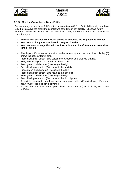![](_page_26_Picture_0.jpeg)

![](_page_26_Picture_2.jpeg)

#### <span id="page-26-0"></span>**3.1.5 Set the Countdown Time <Cd#>**

For each program you have 9 different countdown times (Cd1 to Cd9). Additionally, you have Cd0 that is always the break (no countdown) if the time of day display (E) shows  $<$ Cd# $>$ When you select the menu to set the countdown times, you set the countdown times of the current program.

- **The shortest allowed countdown time is 20 seconds, the longest 9:59 minutes.**
- **You cannot change a countdown in program 5 and 0.**
- **You can never change the set countdown time and the Cd0 (manual countdown time or break).**
- The display (E) shows  $\langle Cdt \rangle$  (# = number of 0 to 9) and the countdown display (D) shows the set countdown time.
- Press black push-button (2) to select the countdown time that you change.
- Now, the first digit of the countdown times blinks.
- Press green push-button (1) to change the digit.
- Press black push-button (2) to move to the next digit.
- Press green push-button (1) to change the digit.
- Press black push-button (2) to move to the last digit.
- Press green push-button (1) to change the digit.
- Press black push-button (2) to move to the first digit, etc.
- To exit the selected countdown press black push-button (2) until display (E) shows again <Cd#>. No digit blinks any more.
- To exit the countdown menu press black push-button (2) until display (E) shows <LIGth>.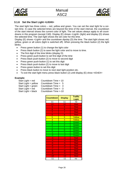![](_page_27_Picture_0.jpeg)

![](_page_27_Picture_2.jpeg)

#### <span id="page-27-0"></span>**3.1.6 Set the Start Light <LIGHt>**

The start light has three colors – red, yellow and green. You can set the start light for a certain time. In case the selected times are beyond the time of the start interval, the countdown of the start interval shows the current color of light. The set values always apply to all countdowns in this program (except Cd0). Display (E) shows <LigHt> (light) and display (D) shows the selected time. The start light shows the set color for this time.

Display (E) shows <LigHt> and the countdown dipslay (D) the time. The start light shows red, yellow, green or all colors (light is switched off). When pressing the black button (2) the light blinks.

- Press green button (1) to change the light color
- Press black button (2) to save the light color and to move to time.
- The first digit of the time blinks (display D)
- Press green push-button to set first digit of the time
- Press black push-button (2) to move to second digit
- Press green push-button (1) to set this digit
- Press black push-button (2) to move to last digit
- Press green button to set this digit
- Press black button to move to next start light position etc.
- To exit the start light menu press black button (2) until display (E) show  $<$ tOnE# $>$

#### **Example:**

| Countdown Time $= 10$  |
|------------------------|
| Countdown Time $= 5$   |
| Countdown Time $=$ 3   |
| Countdown Time $= -3$  |
| Countdown Time $= -10$ |
|                        |

| <b>Countdown</b> | <b>Display</b>     | <b>Traffic</b><br><b>Light</b> |
|------------------|--------------------|--------------------------------|
| 11               | 11                 | no                             |
| 10               | 10                 | Red                            |
| 9                | 9                  | Red                            |
| 8                | 8                  | Red                            |
| 7                | 7                  | Red                            |
| 6                | 6                  | Red                            |
| 5                | 5                  | Yellow                         |
| 4                | 4                  | Yellow                         |
| $rac{3}{2}$      | $\overline{3}$     | Green                          |
|                  | $\frac{2}{1}$      | Green                          |
| $\overline{1}$   |                    | Green                          |
| $\overline{0}$   | $\overline{0}$     | Green                          |
| -1               |                    | Green                          |
| $\overline{.2}$  | $\overline{\cdot}$ | Green                          |
| -3               | $-3$               | Red                            |
| $-4$             | $-4$               | Red                            |
| $-5$             | $-5$               | Red                            |
| -6               | $-6$               | Red                            |
| -7               | -7                 | Red                            |
| $-8$             | -8                 | Red                            |
| -9               | -9                 | Red                            |
| -10              | -10                | Red                            |
| -11              | -11                | no                             |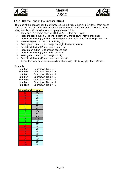![](_page_28_Picture_0.jpeg)

![](_page_28_Picture_2.jpeg)

#### <span id="page-28-0"></span>**3.1.7 Set the Tone of the Speaker <tOnE>**

The tone of the speaker can be switched off, sound with a high or a low tone. Most sports desire a pre-warning at 10 seconds and a countdown from 5 seconds to 0. The set values always apply for all countdowns in this program (not Cd 0).

- The display (E) shows blinking  $ltOnE\#>$  (# = L [low] or H [high])
- Press the green button (1) to switch between L and H (low or high signal tone)
- Press black button (2) to confirm moving on to countdown time and saving signal tone
- The first digit of the time blinks (display D)
- Press green button (1) to change first digit of singal tone time
- Press black button (2) to move to second digit
- Press green button (1) to change second digit
- Press black button (2) to move to last digit
- Press green button (1) to change last digit
- Press black button (2) to move to next tone etc.
- To exit the signal tone menu press black button (2) until display (E) show <StOrE>

#### **Example:**

| Horn Low  | Countdown Time $= 10$ |    |
|-----------|-----------------------|----|
| Horn Low  | Countdown Time = $5$  |    |
| Horn Low  | Countdown Time = $4$  |    |
| Horn Low  | Countdown Time $=$ 3  |    |
| Horn Low  | Countdown Time = $2$  |    |
| Horn Low  | Countdown $Time =$    | -1 |
| Horn High | Countdown Time = $0$  |    |

| <b>Countdown</b> | <b>Horn</b> |
|------------------|-------------|
| 10               | low         |
| 9                | off         |
| 8                | off         |
| 7                | off         |
| 6                | off         |
| 5                | low         |
| $\overline{4}$   | low         |
| $\overline{3}$   | low         |
| $\overline{2}$   | low         |
| 1                | low         |
| $\overline{0}$   | high        |
| -1               | off         |
| $\overline{2}$   | off         |
| -3               | off         |
| $-4$             | off         |
| -5               | off         |
| -6               | off         |
| $\overline{7}$   | off         |
| -8               | off         |
| -9               | off         |
| $-10$            | off         |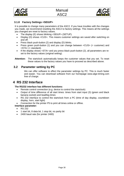![](_page_29_Picture_0.jpeg)

![](_page_29_Picture_2.jpeg)

#### <span id="page-29-0"></span>**3.1.8 Factory Settings <SEtUP>**

It is possible to change many parameters of the ASC2. If you have troubles with the changes you made, we recommend resetting the ASC2 to factory settings. This means all the settings you changed are reset to factory values.

- The display (E) shows blinking <SEtUP> (SETUP).
- Display (D) shows <CUS>. This means customer settings are saved after switching on and off.
- Press black push-button (2) and display (D) blinks.
- Press green push-button (1) and you can change between <CUS> (= customer) and  $\langle$ STA $>$  (= standard).
- If the display shows <STA> and you press black push-button (2), all parameters are reset to the factory values (original setting).

**Attention:** The startclock automatically keeps the customer values that you set. To reset these values to the factory values you have to proceed as described above.

### <span id="page-29-1"></span>**3.2 Parameter setting by PC**

We can offer software to effect the parameter settings by PC. This is much faster and easier. You can download software from our homepage [www.alge-timing.com](http://www.alge-timing.com/) free of charge.

# <span id="page-29-2"></span>**4 RS 232 Interface**

#### **The RS232 interface has different functions:**

- Remote control connection (e.g. device to control the startclock)
- Output of time difference of all start times: times from start input (3) (green and black banana socket) and lead/leg times
- RS 232 interface to control the startclock from a PC (time of day display, countdown display, horn, start light)
- Connection for the printer P5 to print all times online or offline.
- **Interface parameter:**
	- RS 232
	- 1 start bit, 8 data bit, 1 stop bit, no parity bit
	- 2400 baud rate (for printer 2400)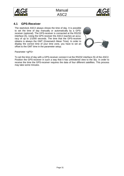![](_page_30_Picture_0.jpeg)

![](_page_30_Picture_2.jpeg)

### <span id="page-30-0"></span>**4.1 GPS-Receiver**

The startclock ASC2 always shows the time of day. It is possible to set the time of day manually or automatically by a GPSreceiver (optional). The GPS-receiver is connected at the RS232 interface (5). Using the GPS receiver the ASC2 reaches an accuracy of up to 1/1000 seconds. The time that the GPS-receiver obtains is always the GMT (Greenwich Mean Time). In order to display the correct time of your time zone, you have to set an offset to the GMT time in the parameter setup.

![](_page_30_Picture_5.jpeg)

Parameter <gPS>

To set the time of day with a GPS-receiver connect it at the RS232 interface (5) of the ASC2. Position the GPS-receiver in such a way that it has unhindered view to the sky. In order to receive the time the GPS-receiver requires the data of four different satellites. This process may take some minutes.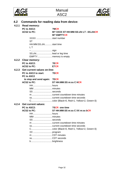![](_page_31_Picture_0.jpeg)

![](_page_31_Picture_2.jpeg)

<span id="page-31-4"></span><span id="page-31-3"></span><span id="page-31-2"></span><span id="page-31-1"></span><span id="page-31-0"></span>

| 4.2   | Commands for reading data from device: |                                                           |  |
|-------|----------------------------------------|-----------------------------------------------------------|--|
|       | 4.2.1 Read memory:                     |                                                           |  |
|       | PC to ASC2:                            | ?MCR                                                      |  |
|       | <b>ACS2 to PC:</b>                     | M? XXXX ST HH:MM:SS:zht LT -SS.zhtCR<br><b>M? EMPTYCR</b> |  |
|       | XXXX start number                      |                                                           |  |
|       | <b>ST</b>                              |                                                           |  |
|       | HH:MM:SS.zhtstart time<br>L T          |                                                           |  |
|       |                                        |                                                           |  |
|       | -  sign<br>SS.zhtlead or leg time      |                                                           |  |
|       | EMPTY memory is empty                  |                                                           |  |
|       | 4.2.2 Clear memory:                    |                                                           |  |
|       | PC to ASC2:                            | ?ECR                                                      |  |
|       | <b>ACS2 to PC:</b>                     | E?CR                                                      |  |
| 4.2.3 | <b>Get current values on-line:</b>     |                                                           |  |
|       | PC to ASC2 to start: ?DCR              |                                                           |  |
|       | PC to ASC2                             |                                                           |  |
|       | to stop and send again: ?DCR           |                                                           |  |
|       | <b>ACS2 to PC:</b>                     | <b>D? HH:MM:SS m:ss C HCR</b>                             |  |
|       |                                        |                                                           |  |
|       |                                        |                                                           |  |
|       | SS seconds                             |                                                           |  |
|       |                                        |                                                           |  |
|       |                                        |                                                           |  |
|       |                                        |                                                           |  |
|       | 4.2.4 Get current values:              |                                                           |  |
|       | PC to ASC2:                            | ?SCR one time                                             |  |
|       | ACS2 to PC:                            | S? HH:MM:SS m:ss C XX m:ss bCR                            |  |
|       | HH hours                               |                                                           |  |
|       | MM-  minutes                           |                                                           |  |
|       | SS seconds                             |                                                           |  |
|       |                                        |                                                           |  |
|       |                                        |                                                           |  |
|       |                                        |                                                           |  |
|       |                                        |                                                           |  |
|       | m CDT minutes                          |                                                           |  |
|       | ssCDT seconds                          |                                                           |  |
|       |                                        |                                                           |  |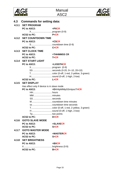![](_page_32_Picture_0.jpeg)

![](_page_32_Picture_2.jpeg)

<span id="page-32-5"></span><span id="page-32-4"></span><span id="page-32-3"></span><span id="page-32-2"></span><span id="page-32-1"></span><span id="page-32-0"></span>

| 4.3 Commands for setting data:             |                                 |  |
|--------------------------------------------|---------------------------------|--|
| 4.3.1 SET PROGRAM                          |                                 |  |
| PC to ASC2:                                | $=$ PXCR                        |  |
|                                            |                                 |  |
| ACS2 to PC:                                | $P = CR$                        |  |
| <b>4.3.2 SET COUNTDOWN TIME</b>            |                                 |  |
| PC to ASC2:                                | $=CSCR$                         |  |
|                                            |                                 |  |
| <b>ACS2 to PC:</b>                         | $C = CR$                        |  |
| 4.3.3 SET CLOCK TIME                       |                                 |  |
| PC to ASC2:                                | =THHMMSS CR                     |  |
| <b>ACS2 to PC:</b>                         | $T = CR$                        |  |
| 4.3.4 SET START LIGHT                      |                                 |  |
| PC to ASC2:                                | =LXSSTHCR                       |  |
|                                            |                                 |  |
|                                            | SS seconds (0-20, 0=-10, 20=10) |  |
|                                            |                                 |  |
|                                            |                                 |  |
| <b>ACS2 to PC:</b>                         | $L = CR$                        |  |
| 4.3.5 SET DISPLAY                          |                                 |  |
| Has effect only if device is in slave mode |                                 |  |
| PC to ASC2:                                | =DHHtpMMtpSSmtpssTHCR           |  |
|                                            |                                 |  |
|                                            |                                 |  |
| SSseconds                                  |                                 |  |
|                                            |                                 |  |
|                                            |                                 |  |
|                                            |                                 |  |
|                                            | H  sound (0-off, 1-high, 2-low) |  |
| Tptwo points                               |                                 |  |
| <b>ACS2 to PC:</b>                         | $D = CR$                        |  |
| 4.3.6 GOTO SLAVE MODE                      |                                 |  |
| PC to ASC2:                                | $=$ SLAVECR                     |  |
| <b>ACS2 to PC:</b>                         | $S = CR$                        |  |
| 4.3.7 GOTO MASTER MODE                     |                                 |  |
| PC to ASC2:                                | =MASTERCR                       |  |
| <b>ACS2 to PC:</b>                         | $S = CR$                        |  |
| 4.3.8 SET BRIGHTNESS                       |                                 |  |
| PC to ASC2:                                | $= BXCR$                        |  |
|                                            |                                 |  |
| $ACS2$ to $PC$ : $B=CR$                    |                                 |  |

<span id="page-32-8"></span><span id="page-32-7"></span><span id="page-32-6"></span>